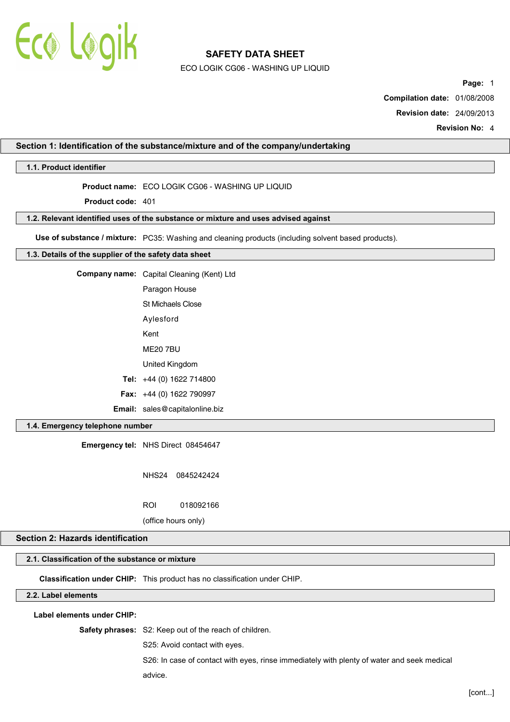

ECO LOGIK CG06 - WASHING UP LIQUID

**Page:** 1

**Compilation date:** 01/08/2008

**Revision date:** 24/09/2013

**Revision No:** 4

### **Section 1: Identification of the substance/mixture and of the company/undertaking**

**1.1. Product identifier**

**Product name:** ECO LOGIK CG06 - WASHING UP LIQUID

**Product code:** 401

**1.2. Relevant identified uses of the substance or mixture and uses advised against**

**Use of substance / mixture:** PC35: Washing and cleaning products (including solvent based products).

#### **1.3. Details of the supplier of the safety data sheet**

| <b>Company name:</b> Capital Cleaning (Kent) Ltd |  |
|--------------------------------------------------|--|
| Paragon House                                    |  |
| St Michaels Close                                |  |
| Aylesford                                        |  |
|                                                  |  |

Kent

ME20 7BU

United Kingdom

**Tel:** +44 (0) 1622 714800

**Fax:** +44 (0) 1622 790997

**Email:** sales@capitalonline.biz

## **1.4. Emergency telephone number**

**Emergency tel:** NHS Direct 08454647

NHS24 0845242424

ROI 018092166

(office hours only)

## **Section 2: Hazards identification**

### **2.1. Classification of the substance or mixture**

**Classification under CHIP:** This product has no classification under CHIP.

## **2.2. Label elements**

**Label elements under CHIP:**

**Safety phrases:** S2: Keep out of the reach of children.

S25: Avoid contact with eyes.

S26: In case of contact with eyes, rinse immediately with plenty of water and seek medical advice.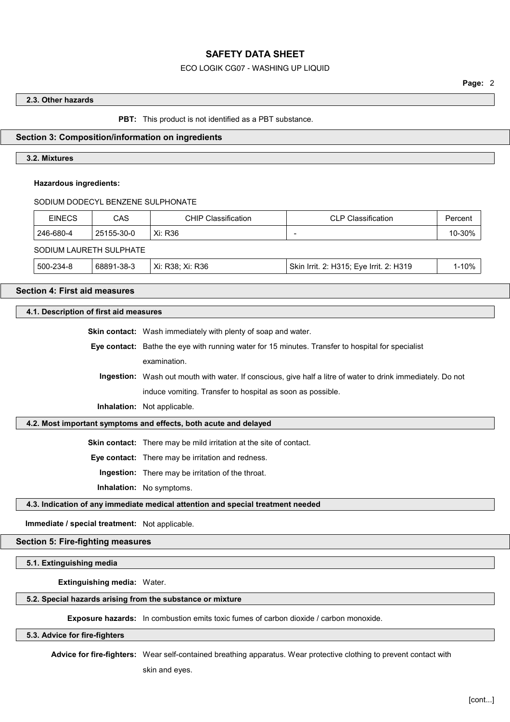## ECO LOGIK CG07 - WASHING UP LIQUID

## **2.3. Other hazards**

**PBT:** This product is not identified as a PBT substance.

#### **Section 3: Composition/information on ingredients**

## **3.2. Mixtures**

#### **Hazardous ingredients:**

SODIUM DODECYL BENZENE SULPHONATE

| <b>EINECS</b>           | CAS        | <b>CHIP Classification</b> | <b>CLP Classification</b>               | Percent   |  |
|-------------------------|------------|----------------------------|-----------------------------------------|-----------|--|
| 246-680-4               | 25155-30-0 | Xi: R36                    | $\overline{\phantom{0}}$                | 10-30%    |  |
| SODIUM LAURETH SULPHATE |            |                            |                                         |           |  |
| 500-234-8               | 68891-38-3 | Xi: R38; Xi: R36           | Skin Irrit. 2: H315; Eye Irrit. 2: H319 | $1 - 10%$ |  |

#### **Section 4: First aid measures**

#### **4.1. Description of first aid measures**

**Skin contact:** Wash immediately with plenty of soap and water.

**Eye contact:** Bathe the eye with running water for 15 minutes. Transfer to hospital for specialist examination.

**Ingestion:** Wash out mouth with water. If conscious, give half a litre of water to drink immediately. Do not induce vomiting. Transfer to hospital as soon as possible.

**Inhalation:** Not applicable.

#### **4.2. Most important symptoms and effects, both acute and delayed**

**Skin contact:** There may be mild irritation at the site of contact.

**Eye contact:** There may be irritation and redness.

**Ingestion:** There may be irritation of the throat.

**Inhalation:** No symptoms.

### **4.3. Indication of any immediate medical attention and special treatment needed**

**Immediate / special treatment:** Not applicable.

#### **Section 5: Fire-fighting measures**

**5.1. Extinguishing media**

**Extinguishing media:** Water.

#### **5.2. Special hazards arising from the substance or mixture**

**Exposure hazards:** In combustion emits toxic fumes of carbon dioxide / carbon monoxide.

#### **5.3. Advice for fire-fighters**

**Advice for fire-fighters:** Wear self-contained breathing apparatus. Wear protective clothing to prevent contact with

skin and eyes.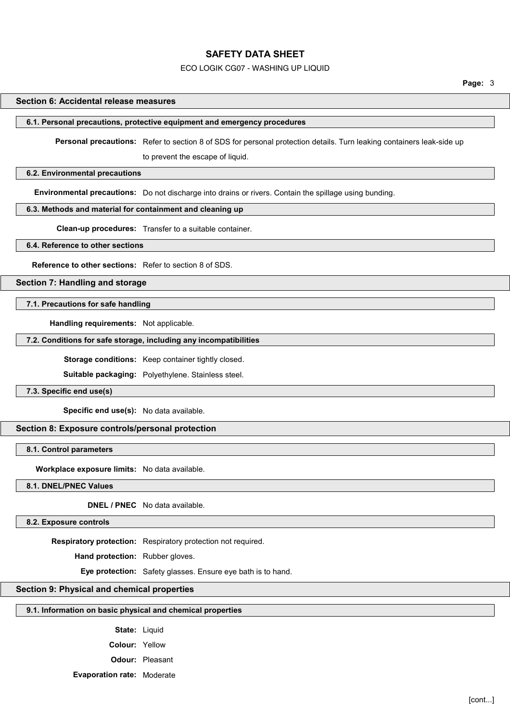#### ECO LOGIK CG07 - WASHING UP LIQUID

#### **Section 6: Accidental release measures**

#### **6.1. Personal precautions, protective equipment and emergency procedures**

**Personal precautions:** Refer to section 8 of SDS for personal protection details. Turn leaking containers leak-side up

to prevent the escape of liquid.

### **6.2. Environmental precautions**

**Environmental precautions:** Do not discharge into drains or rivers. Contain the spillage using bunding.

#### **6.3. Methods and material for containment and cleaning up**

**Clean-up procedures:** Transfer to a suitable container.

#### **6.4. Reference to other sections**

**Reference to other sections:** Refer to section 8 of SDS.

#### **Section 7: Handling and storage**

## **7.1. Precautions for safe handling**

**Handling requirements:** Not applicable.

## **7.2. Conditions for safe storage, including any incompatibilities**

**Storage conditions:** Keep container tightly closed.

**Suitable packaging:** Polyethylene. Stainless steel.

**7.3. Specific end use(s)**

**Specific end use(s):** No data available.

## **Section 8: Exposure controls/personal protection**

**8.1. Control parameters**

**Workplace exposure limits:** No data available.

**8.1. DNEL/PNEC Values**

**DNEL / PNEC** No data available.

**8.2. Exposure controls**

**Respiratory protection:** Respiratory protection not required.

**Hand protection:** Rubber gloves.

**Eye protection:** Safety glasses. Ensure eye bath is to hand.

## **Section 9: Physical and chemical properties**

#### **9.1. Information on basic physical and chemical properties**

**State:** Liquid

- **Colour:** Yellow
- **Odour:** Pleasant
- **Evaporation rate:** Moderate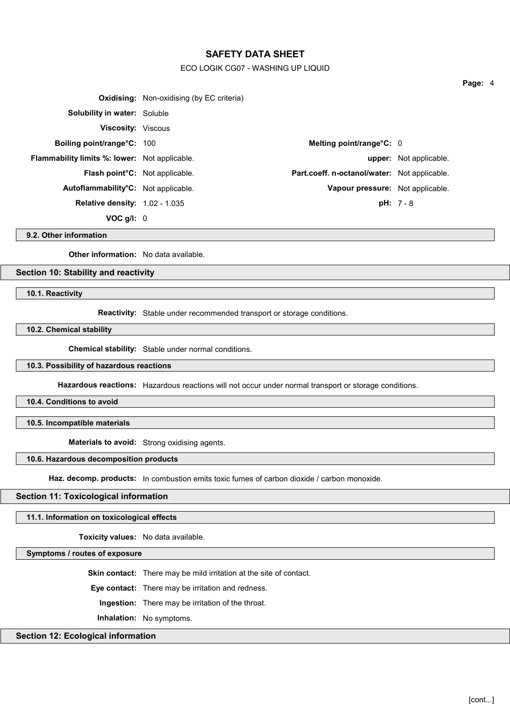## ECO LOGIK CG07 - WASHING UP LIQUID

|                                                      | <b>Oxidising:</b> Non-oxidising (by EC criteria) |                                              |                               |
|------------------------------------------------------|--------------------------------------------------|----------------------------------------------|-------------------------------|
| <b>Solubility in water: Soluble</b>                  |                                                  |                                              |                               |
| <b>Viscosity:</b> Viscous                            |                                                  |                                              |                               |
| <b>Boiling point/range °C: 100</b>                   |                                                  | Melting point/range $C: 0$                   |                               |
| <b>Flammability limits %: lower:</b> Not applicable. |                                                  |                                              | <b>upper:</b> Not applicable. |
| <b>Flash point<sup>°</sup>C:</b> Not applicable.     |                                                  | Part.coeff. n-octanol/water: Not applicable. |                               |
| Autoflammability <sup>o</sup> C: Not applicable.     |                                                  | Vapour pressure: Not applicable.             |                               |
| <b>Relative density: 1.02 - 1.035</b>                |                                                  |                                              | $pH: 7 - 8$                   |
| $VOC$ g/l: $0$                                       |                                                  |                                              |                               |

**9.2. Other information**

**Other information:** No data available.

# **Section 10: Stability and reactivity**

**10.1. Reactivity**

**Reactivity:** Stable under recommended transport or storage conditions.

**10.2. Chemical stability**

**Chemical stability:** Stable under normal conditions.

#### **10.3. Possibility of hazardous reactions**

**Hazardous reactions:** Hazardous reactions will not occur under normal transport or storage conditions.

**10.4. Conditions to avoid**

**10.5. Incompatible materials**

**Materials to avoid:** Strong oxidising agents.

**10.6. Hazardous decomposition products**

Haz. decomp. products: In combustion emits toxic fumes of carbon dioxide / carbon monoxide.

#### **Section 11: Toxicological information**

**11.1. Information on toxicological effects**

**Toxicity values:** No data available.

**Symptoms / routes of exposure**

**Skin contact:** There may be mild irritation at the site of contact.

**Eye contact:** There may be irritation and redness.

**Ingestion:** There may be irritation of the throat.

**Inhalation:** No symptoms.

# **Section 12: Ecological information**

**Page:** 4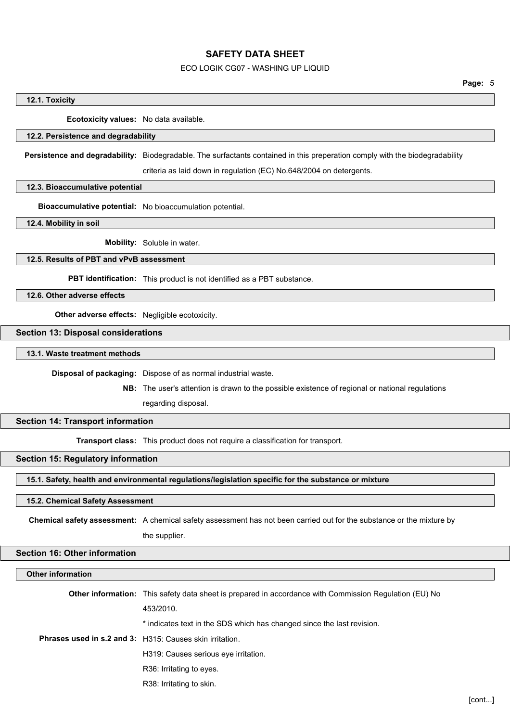#### ECO LOGIK CG07 - WASHING UP LIQUID

**Page:** 5

#### **12.1. Toxicity**

**Ecotoxicity values:** No data available.

## **12.2. Persistence and degradability**

**Persistence and degradability:** Biodegradable. The surfactants contained in this preperation comply with the biodegradability

criteria as laid down in regulation (EC) No.648/2004 on detergents.

#### **12.3. Bioaccumulative potential**

**Bioaccumulative potential:** No bioaccumulation potential.

**12.4. Mobility in soil**

**Mobility:** Soluble in water.

# **12.5. Results of PBT and vPvB assessment**

**PBT identification:** This product is not identified as a PBT substance.

**12.6. Other adverse effects**

**Other adverse effects:** Negligible ecotoxicity.

# **Section 13: Disposal considerations**

**13.1. Waste treatment methods**

**Disposal of packaging:** Dispose of as normal industrial waste.

**NB:** The user's attention is drawn to the possible existence of regional or national regulations

regarding disposal.

## **Section 14: Transport information**

**Transport class:** This product does not require a classification for transport.

## **Section 15: Regulatory information**

**15.1. Safety, health and environmental regulations/legislation specific for the substance or mixture**

## **15.2. Chemical Safety Assessment**

**Chemical safety assessment:** A chemical safety assessment has not been carried out for the substance or the mixture by

the supplier.

## **Section 16: Other information**

#### **Other information**

| Other information: This safety data sheet is prepared in accordance with Commission Regulation (EU) No |
|--------------------------------------------------------------------------------------------------------|
| 453/2010.                                                                                              |
| * indicates text in the SDS which has changed since the last revision.                                 |
| <b>Phrases used in s.2 and 3:</b> H315: Causes skin irritation.                                        |
| H319: Causes serious eye irritation.                                                                   |
| R36: Irritating to eyes.                                                                               |
| R38: Irritating to skin.                                                                               |